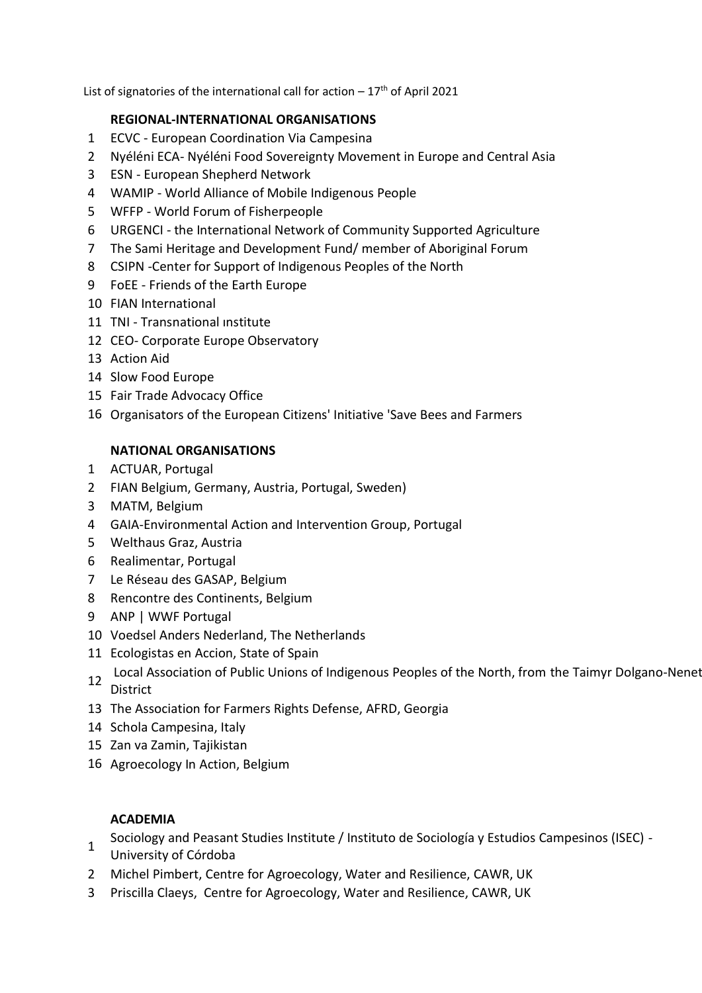List of signatories of the international call for action  $-17<sup>th</sup>$  of April 2021

## **REGIONAL-INTERNATIONAL ORGANISATIONS**

- ECVC European Coordination Via Campesina
- Nyéléni ECA- Nyéléni Food Sovereignty Movement in Europe and Central Asia
- ESN European Shepherd Network
- WAMIP World Alliance of Mobile Indigenous People
- WFFP World Forum of Fisherpeople
- URGENCI the International Network of Community Supported Agriculture
- The Sami Heritage and Development Fund/ member of Aboriginal Forum
- CSIPN -Center for Support of Indigenous Peoples of the North
- FoEE Friends of the Earth Europe
- FIAN International
- TNI Transnational ınstitute
- CEO- Corporate Europe Observatory
- Action Aid
- Slow Food Europe
- Fair Trade Advocacy Office
- Organisators of the European Citizens' Initiative 'Save Bees and Farmers

## **NATIONAL ORGANISATIONS**

- ACTUAR, Portugal
- FIAN Belgium, Germany, Austria, Portugal, Sweden)
- MATM, Belgium
- GAIA-Environmental Action and Intervention Group, Portugal
- Welthaus Graz, Austria
- Realimentar, Portugal
- Le Réseau des GASAP, Belgium
- Rencontre des Continents, Belgium
- ANP | WWF Portugal
- Voedsel Anders Nederland, The Netherlands
- Ecologistas en Accion, State of Spain
- 12 Local Association of Public Unions of Indigenous Peoples of the North, from the Taimyr Dolgano-Nenet District
- The Association for Farmers Rights Defense, AFRD, Georgia
- Schola Campesina, Italy
- Zan va Zamin, Tajikistan
- Agroecology In Action, Belgium

## **ACADEMIA**

- Sociology and Peasant Studies Institute / Instituto de Sociología y Estudios Campesinos (ISEC) -
- University of Córdoba
- Michel Pimbert, Centre for Agroecology, Water and Resilience, CAWR, UK
- Priscilla Claeys, Centre for Agroecology, Water and Resilience, CAWR, UK